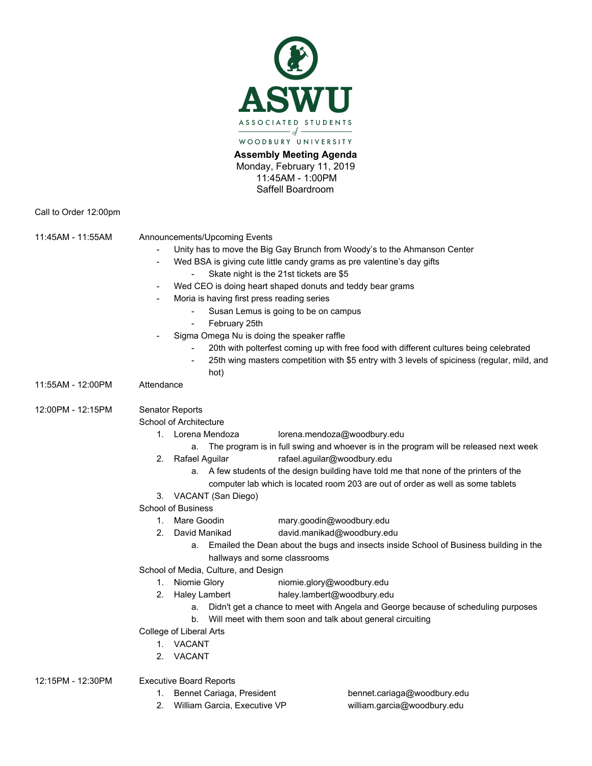

**Assembly Meeting Agenda** Monday, February 11, 2019 11:45AM - 1:00PM Saffell Boardroom

Call to Order 12:00pm

| 11:45AM - 11:55AM | Announcements/Upcoming Events<br>$\overline{\phantom{a}}$<br>Moria is having first press reading series<br>February 25th | Unity has to move the Big Gay Brunch from Woody's to the Ahmanson Center<br>Wed BSA is giving cute little candy grams as pre valentine's day gifts<br>Skate night is the 21st tickets are \$5<br>Wed CEO is doing heart shaped donuts and teddy bear grams<br>Susan Lemus is going to be on campus<br>Sigma Omega Nu is doing the speaker raffle<br>20th with polterfest coming up with free food with different cultures being celebrated<br>25th wing masters competition with \$5 entry with 3 levels of spiciness (regular, mild, and |  |
|-------------------|--------------------------------------------------------------------------------------------------------------------------|-------------------------------------------------------------------------------------------------------------------------------------------------------------------------------------------------------------------------------------------------------------------------------------------------------------------------------------------------------------------------------------------------------------------------------------------------------------------------------------------------------------------------------------------|--|
| 11:55AM - 12:00PM | hot)<br>Attendance                                                                                                       |                                                                                                                                                                                                                                                                                                                                                                                                                                                                                                                                           |  |
|                   |                                                                                                                          |                                                                                                                                                                                                                                                                                                                                                                                                                                                                                                                                           |  |
| 12:00PM - 12:15PM | Senator Reports                                                                                                          |                                                                                                                                                                                                                                                                                                                                                                                                                                                                                                                                           |  |
|                   | School of Architecture                                                                                                   |                                                                                                                                                                                                                                                                                                                                                                                                                                                                                                                                           |  |
|                   | 1. Lorena Mendoza                                                                                                        | lorena.mendoza@woodbury.edu                                                                                                                                                                                                                                                                                                                                                                                                                                                                                                               |  |
|                   | a.                                                                                                                       | The program is in full swing and whoever is in the program will be released next week                                                                                                                                                                                                                                                                                                                                                                                                                                                     |  |
|                   | 2. Rafael Aguilar                                                                                                        | rafael.aguilar@woodbury.edu                                                                                                                                                                                                                                                                                                                                                                                                                                                                                                               |  |
|                   |                                                                                                                          | a. A few students of the design building have told me that none of the printers of the                                                                                                                                                                                                                                                                                                                                                                                                                                                    |  |
|                   |                                                                                                                          | computer lab which is located room 203 are out of order as well as some tablets                                                                                                                                                                                                                                                                                                                                                                                                                                                           |  |
|                   | VACANT (San Diego)<br>3.                                                                                                 |                                                                                                                                                                                                                                                                                                                                                                                                                                                                                                                                           |  |
|                   | <b>School of Business</b>                                                                                                |                                                                                                                                                                                                                                                                                                                                                                                                                                                                                                                                           |  |
|                   | 1. Mare Goodin                                                                                                           | mary.goodin@woodbury.edu                                                                                                                                                                                                                                                                                                                                                                                                                                                                                                                  |  |
|                   | 2.<br>David Manikad                                                                                                      | david.manikad@woodbury.edu                                                                                                                                                                                                                                                                                                                                                                                                                                                                                                                |  |
|                   | а.                                                                                                                       | Emailed the Dean about the bugs and insects inside School of Business building in the<br>hallways and some classrooms                                                                                                                                                                                                                                                                                                                                                                                                                     |  |
|                   | School of Media, Culture, and Design                                                                                     |                                                                                                                                                                                                                                                                                                                                                                                                                                                                                                                                           |  |
|                   | 1. Niomie Glory                                                                                                          | niomie.glory@woodbury.edu                                                                                                                                                                                                                                                                                                                                                                                                                                                                                                                 |  |
|                   | 2. Haley Lambert                                                                                                         | haley.lambert@woodbury.edu                                                                                                                                                                                                                                                                                                                                                                                                                                                                                                                |  |
|                   |                                                                                                                          | a. Didn't get a chance to meet with Angela and George because of scheduling purposes                                                                                                                                                                                                                                                                                                                                                                                                                                                      |  |
|                   | b.                                                                                                                       | Will meet with them soon and talk about general circuiting                                                                                                                                                                                                                                                                                                                                                                                                                                                                                |  |
|                   | College of Liberal Arts                                                                                                  |                                                                                                                                                                                                                                                                                                                                                                                                                                                                                                                                           |  |
|                   | 1. VACANT                                                                                                                |                                                                                                                                                                                                                                                                                                                                                                                                                                                                                                                                           |  |
|                   | VACANT<br>2.                                                                                                             |                                                                                                                                                                                                                                                                                                                                                                                                                                                                                                                                           |  |

12:15PM - 12:30PM Executive Board Reports

- 1. Bennet Cariaga, President bennet.cariaga@woodbury.edu
- 2. William Garcia, Executive VP william.garcia@woodbury.edu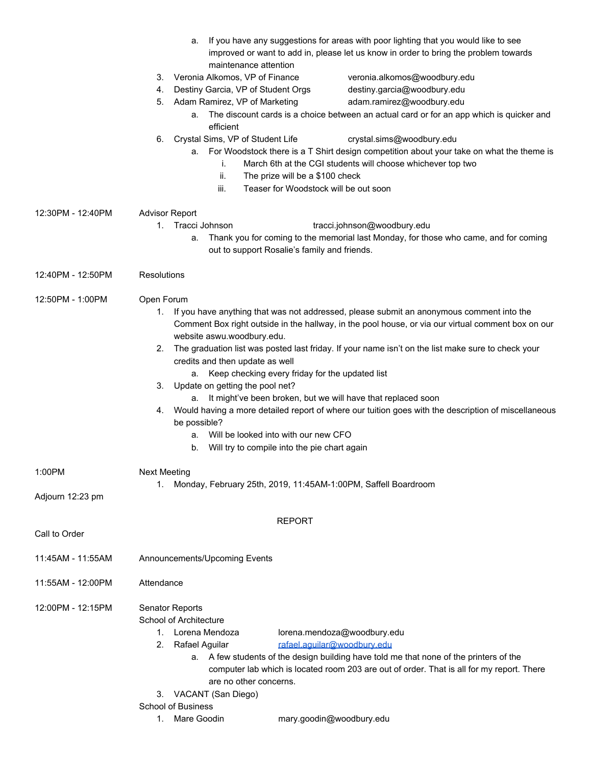|                   | a.<br>maintenance attention                     | If you have any suggestions for areas with poor lighting that you would like to see<br>improved or want to add in, please let us know in order to bring the problem towards                    |  |  |  |
|-------------------|-------------------------------------------------|------------------------------------------------------------------------------------------------------------------------------------------------------------------------------------------------|--|--|--|
|                   | 3. Veronia Alkomos, VP of Finance               | veronia.alkomos@woodbury.edu                                                                                                                                                                   |  |  |  |
|                   | Destiny Garcia, VP of Student Orgs<br>4.        | destiny.garcia@woodbury.edu                                                                                                                                                                    |  |  |  |
|                   | 5.<br>Adam Ramirez, VP of Marketing             | adam.ramirez@woodbury.edu                                                                                                                                                                      |  |  |  |
|                   | a.<br>efficient                                 | The discount cards is a choice between an actual card or for an app which is quicker and                                                                                                       |  |  |  |
|                   | Crystal Sims, VP of Student Life<br>6.          | crystal.sims@woodbury.edu                                                                                                                                                                      |  |  |  |
|                   | а.<br>i.                                        | For Woodstock there is a T Shirt design competition about your take on what the theme is<br>March 6th at the CGI students will choose whichever top two                                        |  |  |  |
|                   | ii.<br>iii.                                     | The prize will be a \$100 check<br>Teaser for Woodstock will be out soon                                                                                                                       |  |  |  |
| 12:30PM - 12:40PM | <b>Advisor Report</b>                           |                                                                                                                                                                                                |  |  |  |
|                   | 1. Tracci Johnson                               | tracci.johnson@woodbury.edu                                                                                                                                                                    |  |  |  |
|                   | а.                                              | Thank you for coming to the memorial last Monday, for those who came, and for coming<br>out to support Rosalie's family and friends.                                                           |  |  |  |
| 12:40PM - 12:50PM | Resolutions                                     |                                                                                                                                                                                                |  |  |  |
| 12:50PM - 1:00PM  | Open Forum                                      |                                                                                                                                                                                                |  |  |  |
|                   | 1.                                              | If you have anything that was not addressed, please submit an anonymous comment into the<br>Comment Box right outside in the hallway, in the pool house, or via our virtual comment box on our |  |  |  |
|                   | website aswu.woodbury.edu.<br>2.                | The graduation list was posted last friday. If your name isn't on the list make sure to check your                                                                                             |  |  |  |
|                   | credits and then update as well                 | a. Keep checking every friday for the updated list                                                                                                                                             |  |  |  |
|                   | Update on getting the pool net?<br>3.           |                                                                                                                                                                                                |  |  |  |
|                   |                                                 | a. It might've been broken, but we will have that replaced soon                                                                                                                                |  |  |  |
|                   | 4.<br>be possible?                              | Would having a more detailed report of where our tuition goes with the description of miscellaneous                                                                                            |  |  |  |
|                   | a.<br>b.                                        | Will be looked into with our new CFO<br>Will try to compile into the pie chart again                                                                                                           |  |  |  |
| 1:00PM            | <b>Next Meeting</b>                             |                                                                                                                                                                                                |  |  |  |
|                   | 1.                                              | Monday, February 25th, 2019, 11:45AM-1:00PM, Saffell Boardroom                                                                                                                                 |  |  |  |
| Adjourn 12:23 pm  |                                                 |                                                                                                                                                                                                |  |  |  |
| Call to Order     |                                                 | <b>REPORT</b>                                                                                                                                                                                  |  |  |  |
|                   |                                                 |                                                                                                                                                                                                |  |  |  |
| 11:45AM - 11:55AM | Announcements/Upcoming Events                   |                                                                                                                                                                                                |  |  |  |
| 11:55AM - 12:00PM | Attendance                                      |                                                                                                                                                                                                |  |  |  |
| 12:00PM - 12:15PM | Senator Reports<br>School of Architecture       |                                                                                                                                                                                                |  |  |  |
|                   | Lorena Mendoza<br>1.                            | lorena.mendoza@woodbury.edu                                                                                                                                                                    |  |  |  |
|                   | Rafael Aguilar<br>2.                            | rafael.aguilar@woodbury.edu                                                                                                                                                                    |  |  |  |
|                   | a.                                              | A few students of the design building have told me that none of the printers of the<br>computer lab which is located room 203 are out of order. That is all for my report. There               |  |  |  |
|                   | are no other concerns.<br>3. VACANT (San Diego) |                                                                                                                                                                                                |  |  |  |
|                   | <b>School of Business</b>                       |                                                                                                                                                                                                |  |  |  |
|                   | Mare Goodin<br>1.                               | mary.goodin@woodbury.edu                                                                                                                                                                       |  |  |  |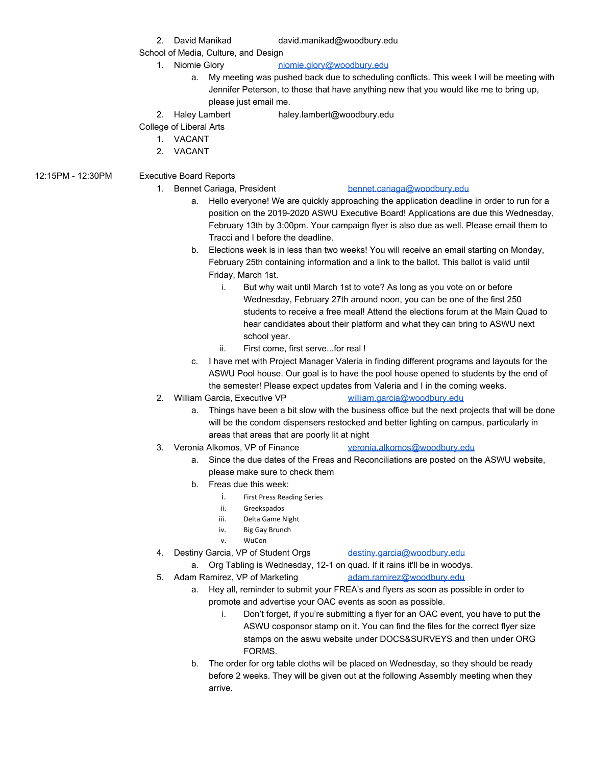2. David Manikad david.manikad@woodbury.edu

School of Media, Culture, and Design

- 1. Niomie Glory [niomie.glory@woodbury.edu](mailto:niomie.glory@woodbury.edu)
	- a. My meeting was pushed back due to scheduling conflicts. This week I will be meeting with Jennifer Peterson, to those that have anything new that you would like me to bring up, please just email me.
- 2. Haley Lambert haley.lambert@woodbury.edu

## College of Liberal Arts

- 1. VACANT
- 2. VACANT
- 12:15PM 12:30PM Executive Board Reports

## 1. Bennet Cariaga, President [bennet.cariaga@woodbury.edu](mailto:bennet.cariaga@woodbury.edu)

- a. Hello everyone! We are quickly approaching the application deadline in order to run for a position on the 2019-2020 ASWU Executive Board! Applications are due this Wednesday, February 13th by 3:00pm. Your campaign flyer is also due as well. Please email them to Tracci and I before the deadline.
- b. Elections week is in less than two weeks! You will receive an email starting on Monday, February 25th containing information and a link to the ballot. This ballot is valid until Friday, March 1st.
	- i. But why wait until March 1st to vote? As long as you vote on or before Wednesday, February 27th around noon, you can be one of the first 250 students to receive a free meal! Attend the elections forum at the Main Quad to hear candidates about their platform and what they can bring to ASWU next school year.
	- ii. First come, first serve...for real !
- c. I have met with Project Manager Valeria in finding different programs and layouts for the ASWU Pool house. Our goal is to have the pool house opened to students by the end of the semester! Please expect updates from Valeria and I in the coming weeks.
- 2. William Garcia, Executive VP [william.garcia@woodbury.edu](mailto:william.garcia@woodbury.edu)
	- a. Things have been a bit slow with the business office but the next projects that will be done will be the condom dispensers restocked and better lighting on campus, particularly in areas that areas that are poorly lit at night
- 3. Veronia Alkomos, VP of Finance [veronia.alkomos@woodbury.edu](mailto:veronia.alkomos@woodbury.edu)
	- a. Since the due dates of the Freas and Reconciliations are posted on the ASWU website, please make sure to check them
	- b. Freas due this week:
		- i. First Press Reading Series
		- ii. Greekspados
		- iii. Delta Game Night
		- iv. Big Gay Brunch
		- v. WuCon
- 4. Destiny Garcia, VP of Student Orgs [destiny.garcia@woodbury.edu](mailto:destiny.garcia@woodbury.edu)
	- a. Org Tabling is Wednesday, 12-1 on quad. If it rains it'll be in woodys.
- 5. Adam Ramirez, VP of Marketing [adam.ramirez@woodbury.edu](mailto:adam.ramirez@woodbury.edu)
	- a. Hey all, reminder to submit your FREA's and flyers as soon as possible in order to promote and advertise your OAC events as soon as possible.
		- i. Don't forget, if you're submitting a flyer for an OAC event, you have to put the ASWU cosponsor stamp on it. You can find the files for the correct flyer size stamps on the aswu website under DOCS&SURVEYS and then under ORG FORMS.
	- b. The order for org table cloths will be placed on Wednesday, so they should be ready before 2 weeks. They will be given out at the following Assembly meeting when they arrive.